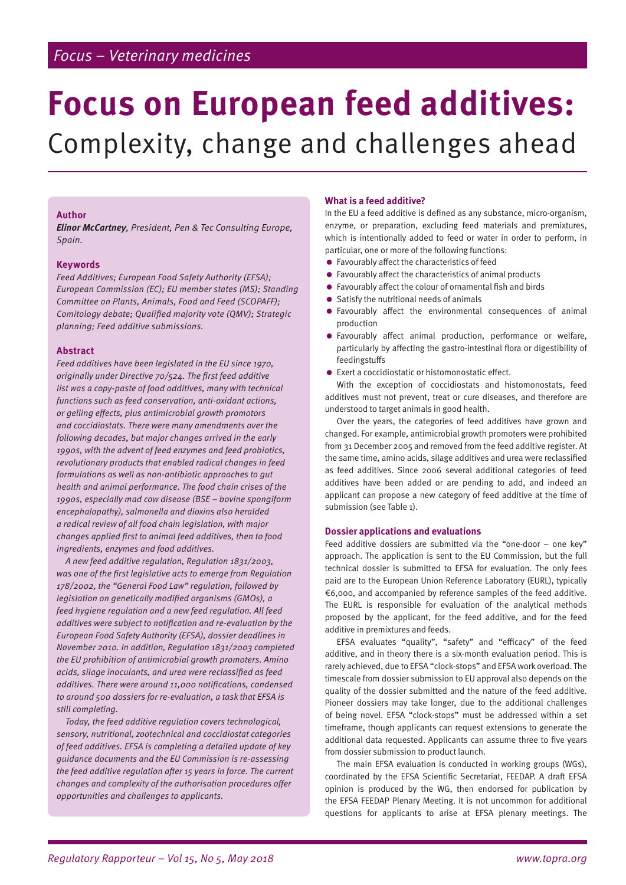# **Focus on European feed additives:**  Complexity, change and challenges ahead

### **Author**

**Elinor McCartney**, President, Pen & Tec Consulting Europe, Spain.

### **Keywords**

Feed Additives; European Food Safety Authority (EFSA); European Commission (EC); EU member states (MS); Standing Committee on Plants, Animals, Food and Feed (SCOPAFF); Comitology debate; Qualified majority vote (QMV); Strategic planning; Feed additive submissions.

### **Abstract**

Feed additives have been legislated in the EU since 1970, originally under Directive 70/524. The first feed additive list was a copy-paste of food additives, many with technical functions such as feed conservation, anti-oxidant actions, or gelling effects, plus antimicrobial growth promotors and coccidiostats. There were many amendments over the following decades, but major changes arrived in the early 1990s, with the advent of feed enzymes and feed probiotics, revolutionary products that enabled radical changes in feed formulations as well as non-antibiotic approaches to gut health and animal performance. The food chain crises of the 1990s, especially mad cow disease (BSE – bovine spongiform encephalopathy), salmonella and dioxins also heralded a radical review of all food chain legislation, with major changes applied first to animal feed additives, then to food ingredients, enzymes and food additives.

A new feed additive regulation, Regulation 1831/2003, was one of the first legislative acts to emerge from Regulation 178/2002, the "General Food Law" regulation, followed by legislation on genetically modified organisms (GMOs), a feed hygiene regulation and a new feed regulation. All feed additives were subject to notification and re-evaluation by the European Food Safety Authority (EFSA), dossier deadlines in November 2010. In addition, Regulation 1831/2003 completed the EU prohibition of antimicrobial growth promoters. Amino acids, silage inoculants, and urea were reclassified as feed additives. There were around 11,000 notifications, condensed to around 500 dossiers for re-evaluation, a task that EFSA is still completing.

Today, the feed additive regulation covers technological, sensory, nutritional, zootechnical and coccidiostat categories of feed additives. EFSA is completing a detailed update of key guidance documents and the EU Commission is re-assessing the feed additive regulation after 15 years in force. The current changes and complexity of the authorisation procedures offer opportunities and challenges to applicants.

### **What is a feed additive?**

In the EU a feed additive is defined as any substance, micro-organism, enzyme, or preparation, excluding feed materials and premixtures, which is intentionally added to feed or water in order to perform, in particular, one or more of the following functions:

- Favourably affect the characteristics of feed
- Favourably affect the characteristics of animal products
- Favourably affect the colour of ornamental fish and birds
- Satisfy the nutritional needs of animals
- Favourably affect the environmental consequences of animal production
- Favourably affect animal production, performance or welfare, particularly by affecting the gastro-intestinal flora or digestibility of feedingstuffs
- Exert a coccidiostatic or histomonostatic effect.

With the exception of coccidiostats and histomonostats, feed additives must not prevent, treat or cure diseases, and therefore are understood to target animals in good health.

Over the years, the categories of feed additives have grown and changed. For example, antimicrobial growth promoters were prohibited from 31 December 2005 and removed from the feed additive register. At the same time, amino acids, silage additives and urea were reclassified as feed additives. Since 2006 several additional categories of feed additives have been added or are pending to add, and indeed an applicant can propose a new category of feed additive at the time of submission (see Table 1).

#### **Dossier applications and evaluations**

Feed additive dossiers are submitted via the "one-door – one key" approach. The application is sent to the EU Commission, but the full technical dossier is submitted to EFSA for evaluation. The only fees paid are to the European Union Reference Laboratory (EURL), typically €6,000, and accompanied by reference samples of the feed additive. The EURL is responsible for evaluation of the analytical methods proposed by the applicant, for the feed additive, and for the feed additive in premixtures and feeds.

EFSA evaluates "quality", "safety" and "efficacy" of the feed additive, and in theory there is a six-month evaluation period. This is rarely achieved, due to EFSA "clock-stops" and EFSA work overload. The timescale from dossier submission to EU approval also depends on the quality of the dossier submitted and the nature of the feed additive. Pioneer dossiers may take longer, due to the additional challenges of being novel. EFSA "clock-stops" must be addressed within a set timeframe, though applicants can request extensions to generate the additional data requested. Applicants can assume three to five years from dossier submission to product launch.

The main EFSA evaluation is conducted in working groups (WGs), coordinated by the EFSA Scientific Secretariat, FEEDAP. A draft EFSA opinion is produced by the WG, then endorsed for publication by the EFSA FEEDAP Plenary Meeting. It is not uncommon for additional questions for applicants to arise at EFSA plenary meetings. The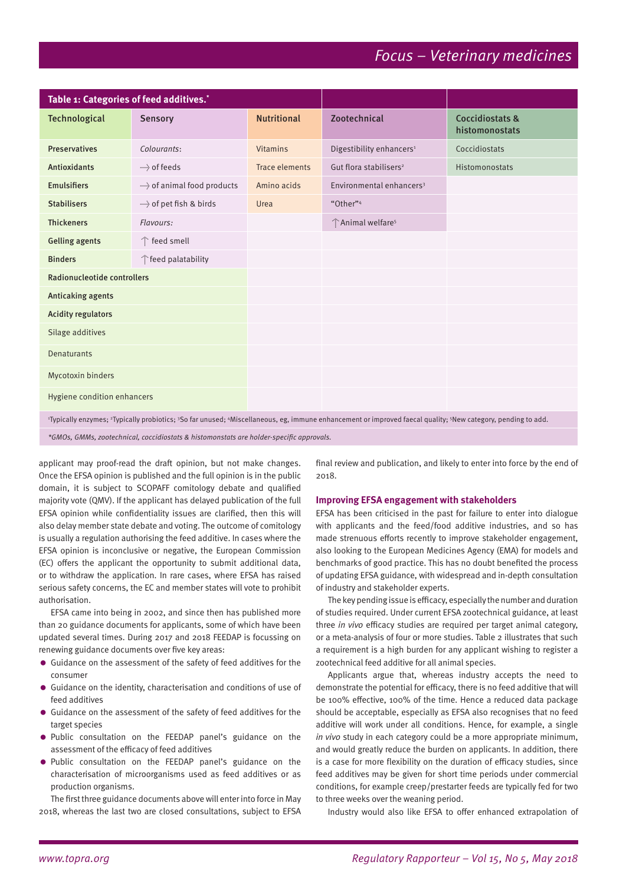| Table 1: Categories of feed additives.*                                                                                                                      |                            |                       |                                          |                                   |  |
|--------------------------------------------------------------------------------------------------------------------------------------------------------------|----------------------------|-----------------------|------------------------------------------|-----------------------------------|--|
| Technological                                                                                                                                                | Sensory                    | <b>Nutritional</b>    | <b>Zootechnical</b>                      | Coccidiostats &<br>histomonostats |  |
| <b>Preservatives</b>                                                                                                                                         | Colourants:                | <b>Vitamins</b>       | Digestibility enhancers <sup>1</sup>     | Coccidiostats                     |  |
| <b>Antioxidants</b>                                                                                                                                          | -----> of feeds            | <b>Trace elements</b> | Gut flora stabilisers <sup>2</sup>       | Histomonostats                    |  |
| <b>Emulsifiers</b>                                                                                                                                           | of animal food products    | Amino acids           | Environmental enhancers <sup>3</sup>     |                                   |  |
| <b>Stabilisers</b>                                                                                                                                           | -----> of pet fish & birds | Urea                  | "Other" <sup>4</sup>                     |                                   |  |
| <b>Thickeners</b>                                                                                                                                            | Flavours:                  |                       | <sup>2</sup> Animal welfare <sup>5</sup> |                                   |  |
| <b>Gelling agents</b>                                                                                                                                        | ↑ feed smell               |                       |                                          |                                   |  |
| <b>Binders</b>                                                                                                                                               | ↑ feed palatability        |                       |                                          |                                   |  |
| Radionucleotide controllers                                                                                                                                  |                            |                       |                                          |                                   |  |
| Anticaking agents                                                                                                                                            |                            |                       |                                          |                                   |  |
| <b>Acidity regulators</b>                                                                                                                                    |                            |                       |                                          |                                   |  |
| Silage additives                                                                                                                                             |                            |                       |                                          |                                   |  |
| <b>Denaturants</b>                                                                                                                                           |                            |                       |                                          |                                   |  |
| Mycotoxin binders                                                                                                                                            |                            |                       |                                          |                                   |  |
| Hygiene condition enhancers                                                                                                                                  |                            |                       |                                          |                                   |  |
| 'Typically enzymes; 'Typically probiotics; 'So far unused; 'Miscellaneous, eg, immune enhancement or improved faecal quality; 'New category, pending to add. |                            |                       |                                          |                                   |  |
| *CMOs, CMMs, pertecturizat, escridizatota 8 biotamenatate que halder anosific queronola                                                                      |                            |                       |                                          |                                   |  |

5MOs, GMMs, zootechnical, coccidiostats & histomonstats are holder-specific approvals

applicant may proof-read the draft opinion, but not make changes. Once the EFSA opinion is published and the full opinion is in the public domain, it is subject to SCOPAFF comitology debate and qualified majority vote (QMV). If the applicant has delayed publication of the full EFSA opinion while confidentiality issues are clarified, then this will also delay member state debate and voting. The outcome of comitology is usually a regulation authorising the feed additive. In cases where the EFSA opinion is inconclusive or negative, the European Commission (EC) offers the applicant the opportunity to submit additional data, or to withdraw the application. In rare cases, where EFSA has raised serious safety concerns, the EC and member states will vote to prohibit authorisation.

EFSA came into being in 2002, and since then has published more than 20 guidance documents for applicants, some of which have been updated several times. During 2017 and 2018 FEEDAP is focussing on renewing guidance documents over five key areas:

- Guidance on the assessment of the safety of feed additives for the consumer
- **Guidance on the identity, characterisation and conditions of use of** feed additives
- Guidance on the assessment of the safety of feed additives for the target species
- Public consultation on the FEEDAP panel's guidance on the assessment of the efficacy of feed additives
- Public consultation on the FEEDAP panel's guidance on the characterisation of microorganisms used as feed additives or as production organisms.

The first three guidance documents above will enter into force in May 2018, whereas the last two are closed consultations, subject to EFSA final review and publication, and likely to enter into force by the end of 2018.

#### **Improving EFSA engagement with stakeholders**

EFSA has been criticised in the past for failure to enter into dialogue with applicants and the feed/food additive industries, and so has made strenuous efforts recently to improve stakeholder engagement, also looking to the European Medicines Agency (EMA) for models and benchmarks of good practice. This has no doubt benefited the process of updating EFSA guidance, with widespread and in-depth consultation of industry and stakeholder experts.

The key pending issue is efficacy, especially the number and duration of studies required. Under current EFSA zootechnical guidance, at least three in vivo efficacy studies are required per target animal category, or a meta-analysis of four or more studies. Table 2 illustrates that such a requirement is a high burden for any applicant wishing to register a zootechnical feed additive for all animal species.

Applicants argue that, whereas industry accepts the need to demonstrate the potential for efficacy, there is no feed additive that will be 100% effective, 100% of the time. Hence a reduced data package should be acceptable, especially as EFSA also recognises that no feed additive will work under all conditions. Hence, for example, a single in vivo study in each category could be a more appropriate minimum, and would greatly reduce the burden on applicants. In addition, there is a case for more flexibility on the duration of efficacy studies, since feed additives may be given for short time periods under commercial conditions, for example creep/prestarter feeds are typically fed for two to three weeks over the weaning period.

Industry would also like EFSA to offer enhanced extrapolation of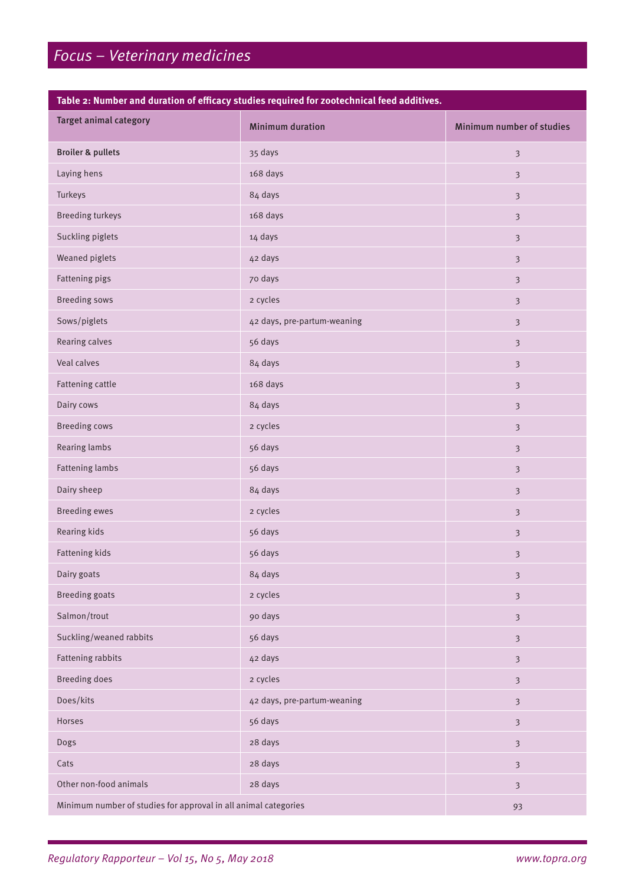### **Table 2: Number and duration of efficacy studies required for zootechnical feed additives.**

| <b>Target animal category</b>                                   | <b>Minimum duration</b>     | Minimum number of studies |
|-----------------------------------------------------------------|-----------------------------|---------------------------|
| <b>Broiler &amp; pullets</b>                                    | 35 days                     | $\overline{3}$            |
| Laying hens                                                     | 168 days                    | $\overline{3}$            |
| Turkeys                                                         | 84 days                     | $\mathfrak{Z}$            |
| <b>Breeding turkeys</b>                                         | 168 days                    | $\mathfrak{Z}$            |
| Suckling piglets                                                | 14 days                     | $\overline{3}$            |
| Weaned piglets                                                  | 42 days                     | $\mathfrak{Z}$            |
| Fattening pigs                                                  | 70 days                     | $\overline{3}$            |
| <b>Breeding sows</b>                                            | 2 cycles                    | $\overline{3}$            |
| Sows/piglets                                                    | 42 days, pre-partum-weaning | $\mathbf{3}$              |
| Rearing calves                                                  | 56 days                     | $\overline{3}$            |
| Veal calves                                                     | 84 days                     | $\overline{3}$            |
| Fattening cattle                                                | 168 days                    | $\mathfrak{Z}$            |
| Dairy cows                                                      | 84 days                     | $\overline{3}$            |
| <b>Breeding cows</b>                                            | 2 cycles                    | $\overline{\mathbf{3}}$   |
| Rearing lambs                                                   | 56 days                     | $\mathfrak{Z}$            |
| <b>Fattening lambs</b>                                          | 56 days                     | $\overline{3}$            |
| Dairy sheep                                                     | 84 days                     | $\mathfrak{Z}$            |
| <b>Breeding ewes</b>                                            | 2 cycles                    | $\overline{3}$            |
| Rearing kids                                                    | 56 days                     | $\mathfrak{Z}$            |
| Fattening kids                                                  | 56 days                     | $\mathfrak{Z}$            |
| Dairy goats                                                     | 84 days                     | $\mathfrak{Z}$            |
| <b>Breeding goats</b>                                           | 2 cycles                    | $\mathfrak{Z}$            |
| Salmon/trout                                                    | 90 days                     | $\mathfrak{Z}$            |
| Suckling/weaned rabbits                                         | 56 days                     | $\overline{3}$            |
| <b>Fattening rabbits</b>                                        | 42 days                     | $\overline{\mathbf{3}}$   |
| <b>Breeding does</b>                                            | 2 cycles                    | $\mathfrak{Z}$            |
| Does/kits                                                       | 42 days, pre-partum-weaning | $\mathfrak{Z}$            |
| Horses                                                          | 56 days                     | $\overline{\mathbf{3}}$   |
| Dogs                                                            | 28 days                     | $\mathfrak{Z}$            |
| Cats                                                            | 28 days                     | $\mathfrak{Z}$            |
| Other non-food animals                                          | 28 days                     | $\mathbf{3}$              |
| Minimum number of studies for approval in all animal categories | 93                          |                           |